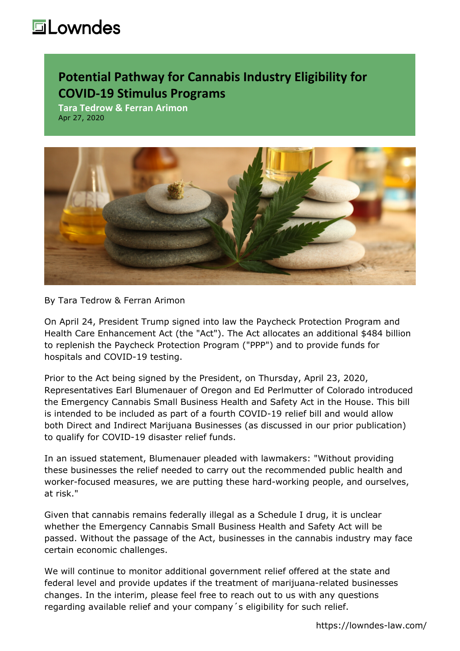## **Lowndes**

## **Potential Pathway for Cannabis Industry Eligibility for COVID-19 Stimulus Programs**

**Tara Tedrow & Ferran Arimon** Apr 27, 2020



By [Tara Tedrow](https://lowndes-law.com/people-detail/client/tara-tedrow) & Ferran Arimon

On April 24, President Trump signed into law the Paycheck Protection Program and Health Care Enhancement Act (the "Act"). The Act allocates an additional \$484 billion to replenish the Paycheck Protection Program ("PPP") and to provide funds for hospitals and COVID-19 testing.

Prior to the Act being signed by the President, on Thursday, April 23, 2020, Representatives Earl Blumenauer of Oregon and Ed Perlmutter of Colorado introduced the [Emergency Cannabis Small Business Health and Safety Act](https://blumenauer.house.gov/sites/blumenauer.house.gov/files/BLUMEN_127_xml.pdf) in the House. This bill is intended to be included as part of a fourth COVID-19 relief bill and would allow both Direct and Indirect Marijuana Businesses (as discussed in our prior [publication\)](https://lowndes-law.com/article-detail/post_detail/Cannabis-and-Hemp-Industry-Eligibility-for-COVID-19-Federal-Stimulus-Programs) to qualify for COVID-19 disaster relief funds.

In an issued statement, Blumenauer pleaded with lawmakers: "Without providing these businesses the relief needed to carry out the recommended public health and worker-focused measures, we are putting these hard-working people, and ourselves, at risk."

Given that cannabis remains federally illegal as a Schedule I drug, it is unclear whether the Emergency Cannabis Small Business Health and Safety Act will be passed. Without the passage of the Act, businesses in the cannabis industry may face certain economic challenges.

We will continue to monitor additional government relief offered at the state and federal level and provide updates if the treatment of marijuana-related businesses changes. In the interim, please feel free to reach out to us with any questions regarding available relief and your company´s eligibility for such relief.